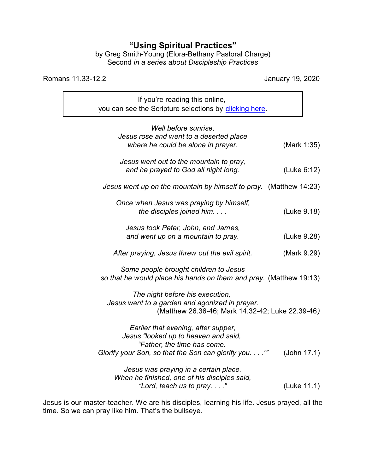## **"Using Spiritual Practices"**

by Greg Smith-Young (Elora-Bethany Pastoral Charge) Second *in a series about Discipleship Practices*

Romans 11.33-12.2 January 19, 2020

٦

| If you're reading this online,                                                        |             |
|---------------------------------------------------------------------------------------|-------------|
| you can see the Scripture selections by clicking here.                                |             |
|                                                                                       |             |
| Well before sunrise,                                                                  |             |
| Jesus rose and went to a deserted place                                               |             |
| where he could be alone in prayer.                                                    | (Mark 1:35) |
| Jesus went out to the mountain to pray,                                               |             |
| and he prayed to God all night long.                                                  | (Luke 6:12) |
|                                                                                       |             |
| Jesus went up on the mountain by himself to pray. (Matthew 14:23)                     |             |
| Once when Jesus was praying by himself,                                               |             |
| the disciples joined him.                                                             | (Luke 9.18) |
|                                                                                       |             |
| Jesus took Peter, John, and James,                                                    |             |
| and went up on a mountain to pray.                                                    | (Luke 9.28) |
|                                                                                       |             |
| After praying, Jesus threw out the evil spirit.                                       | (Mark 9.29) |
|                                                                                       |             |
| Some people brought children to Jesus                                                 |             |
| so that he would place his hands on them and pray. (Matthew 19:13)                    |             |
|                                                                                       |             |
| The night before his execution,                                                       |             |
| Jesus went to a garden and agonized in prayer.                                        |             |
| (Matthew 26.36-46; Mark 14.32-42; Luke 22.39-46)                                      |             |
|                                                                                       |             |
| Earlier that evening, after supper,                                                   |             |
| Jesus "looked up to heaven and said,                                                  |             |
| "Father, the time has come.                                                           |             |
| Glorify your Son, so that the Son can glorify you.'"                                  | (John 17.1) |
|                                                                                       |             |
| Jesus was praying in a certain place.<br>When he finished, one of his disciples said, |             |
| "Lord, teach us to pray."                                                             | (Luke 11.1) |
|                                                                                       |             |

Jesus is our master-teacher. We are his disciples, learning his life. Jesus prayed, all the time. So we can pray like him. That's the bullseye.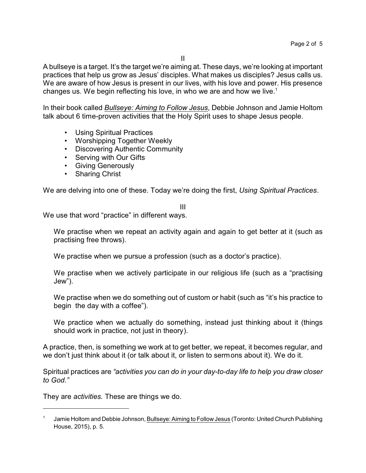II

A bullseye is a target. It's the target we're aiming at. These days, we're looking at important practices that help us grow as Jesus' disciples. What makes us disciples? Jesus calls us. We are aware of how Jesus is present in our lives, with his love and power. His presence changes us. We begin reflecting his love, in who we are and how we live.<sup>1</sup>

In their book called *Bullseye: Aiming to Follow Jesus*, Debbie Johnson and Jamie Holtom talk about 6 time-proven activities that the Holy Spirit uses to shape Jesus people.

- Using Spiritual Practices
- Worshipping Together Weekly
- Discovering Authentic Community
- Serving with Our Gifts
- Giving Generously
- Sharing Christ

We are delving into one of these. Today we're doing the first, *Using Spiritual Practices*.

## III

We use that word "practice" in different ways.

We practise when we repeat an activity again and again to get better at it (such as practising free throws).

We practise when we pursue a profession (such as a doctor's practice).

We practise when we actively participate in our religious life (such as a "practising Jew").

We practise when we do something out of custom or habit (such as "it's his practice to begin the day with a coffee").

We practice when we actually do something, instead just thinking about it (things should work in practice, not just in theory).

A practice, then, is something we work at to get better, we repeat, it becomes regular, and we don't just think about it (or talk about it, or listen to sermons about it). We do it.

Spiritual practices are *"activities you can do in your day-to-day life to help you draw closer to God."*

They are *activities.* These are things we do.

<sup>1</sup> Jamie Holtom and Debbie Johnson, Bullseye: Aiming to Follow Jesus (Toronto: United Church Publishing House, 2015), p. 5.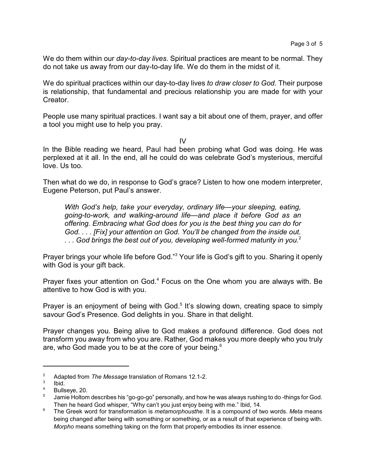We do them within our *day-to-day lives*. Spiritual practices are meant to be normal. They do not take us away from our day-to-day life. We do them in the midst of it.

We do spiritual practices within our day-to-day lives *to draw closer to God.* Their purpose is relationship, that fundamental and precious relationship you are made for with your Creator.

People use many spiritual practices. I want say a bit about one of them, prayer, and offer a tool you might use to help you pray.

IV

In the Bible reading we heard, Paul had been probing what God was doing. He was perplexed at it all. In the end, all he could do was celebrate God's mysterious, merciful love. Us too.

Then what do we do, in response to God's grace? Listen to how one modern interpreter, Eugene Peterson, put Paul's answer.

*With God's help, take your everyday, ordinary life—your sleeping, eating, going-to-work, and walking-around life—and place it before God as an offering. Embracing what God does for you is the best thing you can do for God. . . . [Fix] your attention on God. You'll be changed from the inside out. . . . God brings the best out of you, developing well-formed maturity in you.*<sup>2</sup>

Prayer brings your whole life before God."<sup>3</sup> Your life is God's gift to you. Sharing it openly with God is your gift back.

Prayer fixes your attention on God.<sup>4</sup> Focus on the One whom you are always with. Be attentive to how God is with you.

Prayer is an enjoyment of being with God.<sup>5</sup> It's slowing down, creating space to simply savour God's Presence. God delights in you. Share in that delight.

Prayer changes you. Being alive to God makes a profound difference. God does not transform you away from who you are. Rather, God makes you more deeply who you truly are, who God made you to be at the core of your being. $^{\rm 6}$ 

<sup>2</sup> Adapted from *The Message* translation of Romans 12.1-2.

<sup>3</sup> Ibid.

<sup>4</sup> Bullseye, 20.

<sup>5</sup> Jamie Holtom describes his "go-go-go" personally, and how he was always rushing to do -things for God. Then he heard God whisper, "Why can't you just enjoy being with me." Ibid, 14.

<sup>6</sup> The Greek word for transformation is *metamorphousthe*. It is a compound of two words. *Meta* means being changed after being with something or something, or as a result of that experience of being with. *Morpho* means something taking on the form that properly embodies its inner essence.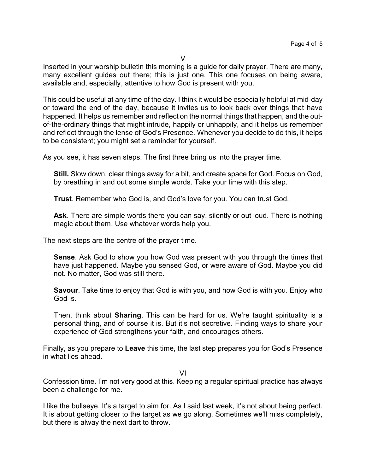Inserted in your worship bulletin this morning is a guide for daily prayer. There are many, many excellent guides out there; this is just one. This one focuses on being aware, available and, especially, attentive to how God is present with you.

This could be useful at any time of the day. I think it would be especially helpful at mid-day or toward the end of the day, because it invites us to look back over things that have happened. It helps us remember and reflect on the normal things that happen, and the outof-the-ordinary things that might intrude, happily or unhappily, and it helps us remember and reflect through the lense of God's Presence. Whenever you decide to do this, it helps to be consistent; you might set a reminder for yourself.

As you see, it has seven steps. The first three bring us into the prayer time.

**Still.** Slow down, clear things away for a bit, and create space for God. Focus on God, by breathing in and out some simple words. Take your time with this step.

**Trust**. Remember who God is, and God's love for you. You can trust God.

**Ask**. There are simple words there you can say, silently or out loud. There is nothing magic about them. Use whatever words help you.

The next steps are the centre of the prayer time.

**Sense**. Ask God to show you how God was present with you through the times that have just happened. Maybe you sensed God, or were aware of God. Maybe you did not. No matter, God was still there.

**Savour**. Take time to enjoy that God is with you, and how God is with you. Enjoy who God is.

Then, think about **Sharing**. This can be hard for us. We're taught spirituality is a personal thing, and of course it is. But it's not secretive. Finding ways to share your experience of God strengthens your faith, and encourages others.

Finally, as you prepare to **Leave** this time, the last step prepares you for God's Presence in what lies ahead.

VI

Confession time. I'm not very good at this. Keeping a regular spiritual practice has always been a challenge for me.

I like the bullseye. It's a target to aim for. As I said last week, it's not about being perfect. It is about getting closer to the target as we go along. Sometimes we'll miss completely, but there is alway the next dart to throw.